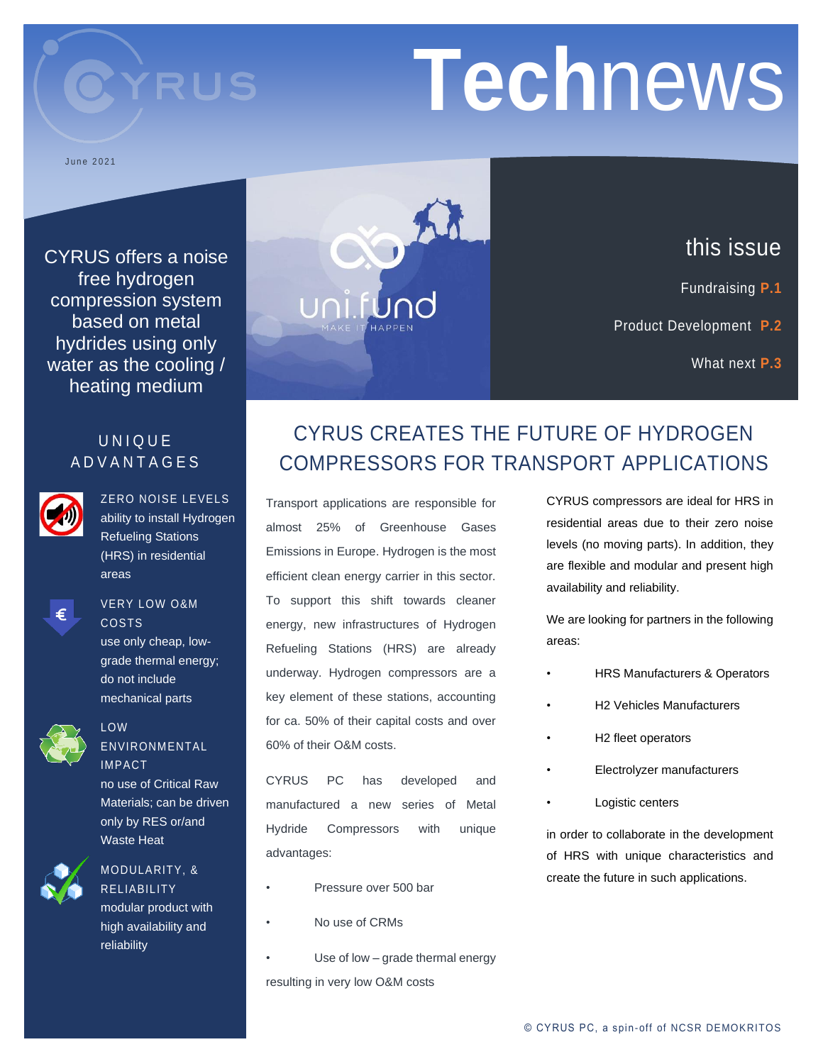# **Tech**news

June 2021

CYRUS offers a noise free hydrogen compression system based on metal hydrides using only water as the cooling / heating medium

YRUS

### **UNIQUE ADVANTAGES**



ZERO NOISE LEVELS ability to install Hydrogen Refueling Stations (HRS) in residential areas



#### VERY LOW O&M COSTS

use only cheap, lowgrade thermal energy; do not include mechanical parts



### LOW ENVIRONMENTAL IMPACT

no use of Critical Raw Materials; can be driven only by RES or/and Waste Heat



### MODULARITY, & RELIABILITY

modular product with high availability and **reliability** 



# this issue

- Fundraising **P.1**
- Product Development **P.2**

Trends & New Software **P.4**

What next **P.3**

# CYRUS CREATES THE FUTURE OF HYDROGEN COMPRESSORS FOR TRANSPORT APPLICATIONS

Transport applications are responsible for almost 25% of Greenhouse Gases Emissions in Europe. Hydrogen is the most efficient clean energy carrier in this sector. To support this shift towards cleaner energy, new infrastructures of Hydrogen Refueling Stations (HRS) are already underway. Hydrogen compressors are a key element of these stations, accounting for ca. 50% of their capital costs and over 60% of their O&M costs.

CYRUS PC has developed and manufactured a new series of Metal Hydride Compressors with unique advantages:

- Pressure over 500 bar
- No use of CRMs

Use of low  $-$  grade thermal energy resulting in very low O&M costs

CYRUS compressors are ideal for HRS in residential areas due to their zero noise levels (no moving parts). In addition, they are flexible and modular and present high availability and reliability.

We are looking for partners in the following areas:

- HRS Manufacturers & Operators
- H2 Vehicles Manufacturers
- H2 fleet operators
- Electrolyzer manufacturers
- Logistic centers

in order to collaborate in the development of HRS with unique characteristics and create the future in such applications.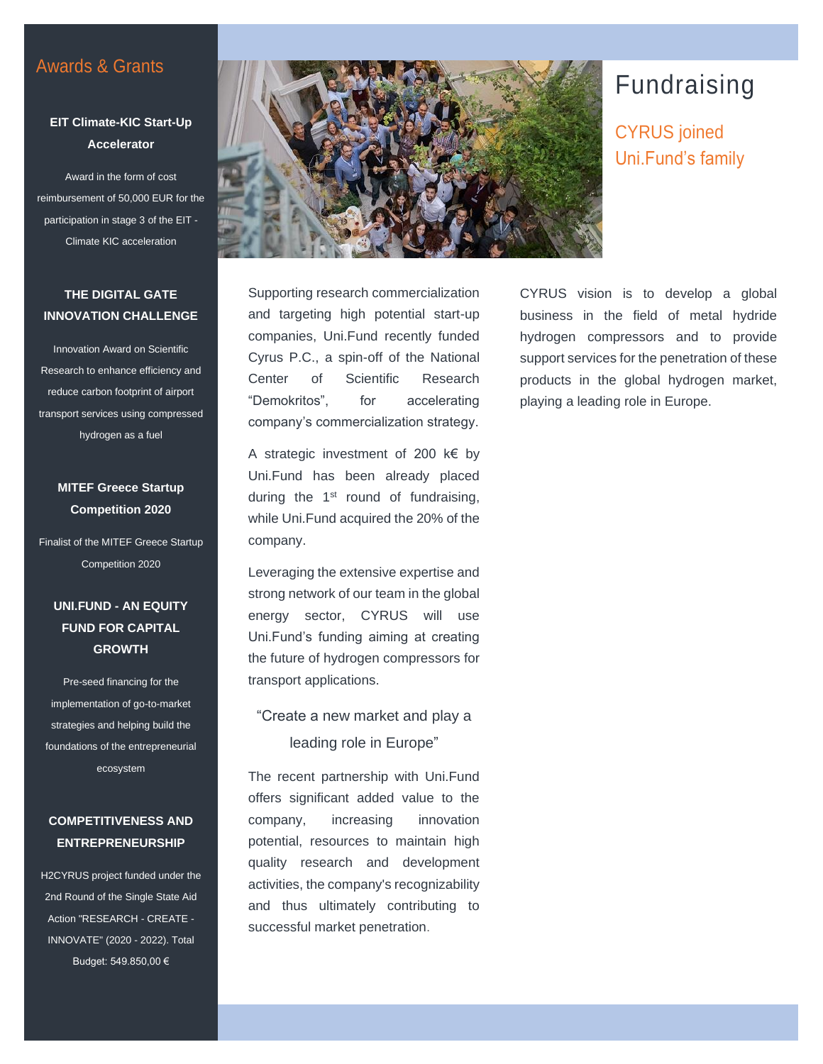### Awards & Grants

### **EIT Climate-KIC Start-Up Accelerator**

Award in the form of cost reimbursement of 50,000 EUR for the participation in stage 3 of the EIT - Climate KIC acceleration

### **THE DIGITAL GATE INNOVATION CHALLENGE**

Innovation Award on Scientific Research to enhance efficiency and reduce carbon footprint of airport transport services using compressed hydrogen as a fuel

### **MITEF Greece Startup Competition 2020**

Finalist of the MITEF Greece Startup Competition 2020

### **UNI.FUND - AN EQUITY FUND FOR CAPITAL GROWTH**

Pre-seed financing for the implementation of go-to-market strategies and helping build the foundations of the entrepreneurial ecosystem

### **COMPETITIVENESS AND ENTREPRENEURSHIP**

H2CYRUS project funded under the 2nd Round of the Single State Aid Action "RESEARCH - CREATE - INNOVATE" (2020 - 2022). Total Budget: 549.850,00 €



# Fundraising

CYRUS joined Uni.Fund's family

Supporting research commercialization and targeting high potential start-up companies, Uni.Fund recently funded Cyrus P.C., a spin-off of the National Center of Scientific Research "Demokritos", for accelerating company's commercialization strategy.

A strategic investment of 200 k€ by Uni.Fund has been already placed during the  $1<sup>st</sup>$  round of fundraising, while Uni.Fund acquired the 20% of the company.

Leveraging the extensive expertise and strong network of our team in the global energy sector, CYRUS will use Uni.Fund's funding aiming at creating the future of hydrogen compressors for transport applications.

"Create a new market and play a leading role in Europe"

The recent partnership with Uni.Fund offers significant added value to the company, increasing innovation potential, resources to maintain high quality research and development activities, the company's recognizability and thus ultimately contributing to successful market penetration.

CYRUS vision is to develop a global business in the field of metal hydride hydrogen compressors and to provide support services for the penetration of these products in the global hydrogen market, playing a leading role in Europe.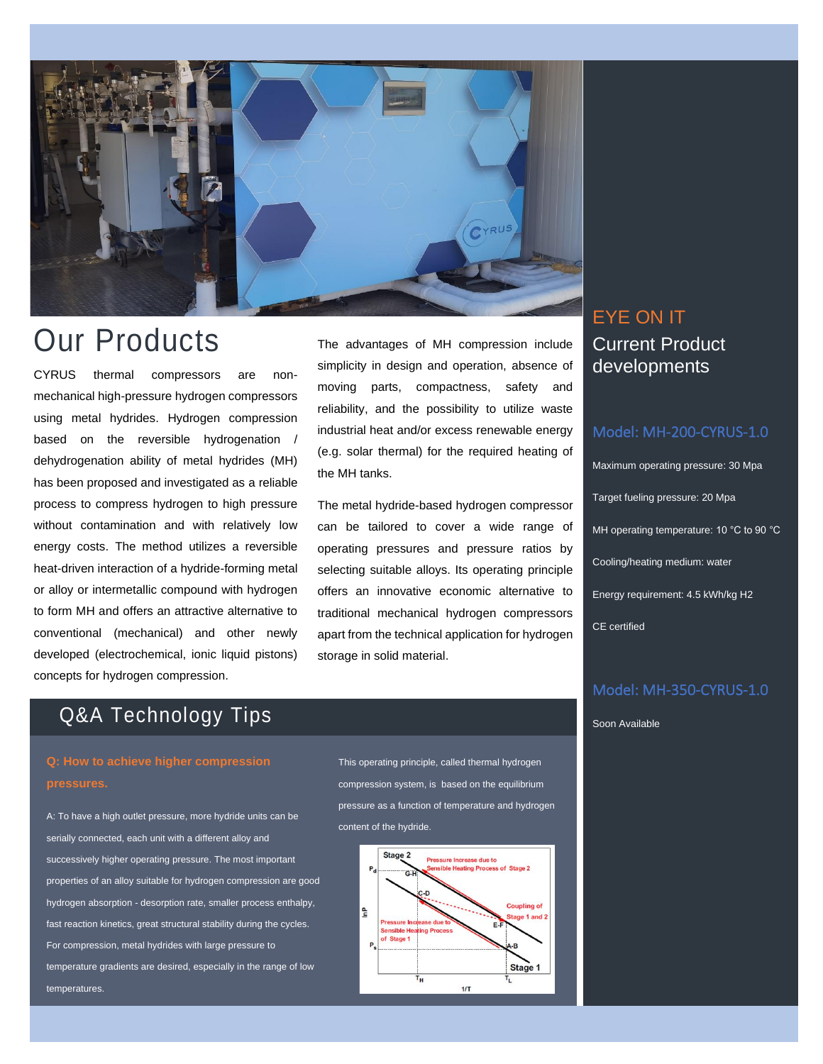

# Our Products

CYRUS thermal compressors are nonmechanical high-pressure hydrogen compressors using metal hydrides. Hydrogen compression based on the reversible hydrogenation / dehydrogenation ability of metal hydrides (MH) has been proposed and investigated as a reliable process to compress hydrogen to high pressure without contamination and with relatively low energy costs. The method utilizes a reversible heat-driven interaction of a hydride-forming metal or alloy or intermetallic compound with hydrogen to form MH and offers an attractive alternative to conventional (mechanical) and other newly developed (electrochemical, ionic liquid pistons) concepts for hydrogen compression.

The advantages of MH compression include simplicity in design and operation, absence of moving parts, compactness, safety and reliability, and the possibility to utilize waste industrial heat and/or excess renewable energy (e.g. solar thermal) for the required heating of the MH tanks.

The metal hydride-based hydrogen compressor can be tailored to cover a wide range of operating pressures and pressure ratios by selecting suitable alloys. Its operating principle offers an innovative economic alternative to traditional mechanical hydrogen compressors apart from the technical application for hydrogen storage in solid material.

### EYE ON IT Current Product developments

### Model: MH-200-CYRUS-1.0

Maximum operating pressure: 30 Mpa Target fueling pressure: 20 Mpa MH operating temperature: 10 °C to 90 °C Cooling/heating medium: water Energy requirement: 4.5 kWh/kg H2 CE certified

### Model: MH-350-CYRUS-1.0

#### Soon Available

## Q&A Technology Tips

**Q: How to achieve higher compression pressures.** 

A: To have a high outlet pressure, more hydride units can be serially connected, each unit with a different alloy and successively higher operating pressure. The most important properties of an alloy suitable for hydrogen compression are good hydrogen absorption - desorption rate, smaller process enthalpy, fast reaction kinetics, great structural stability during the cycles. For compression, metal hydrides with large pressure to temperature gradients are desired, especially in the range of low temperatures.

This operating principle, called thermal hydrogen compression system, is based on the equilibrium pressure as a function of temperature and hydrogen content of the hydride.